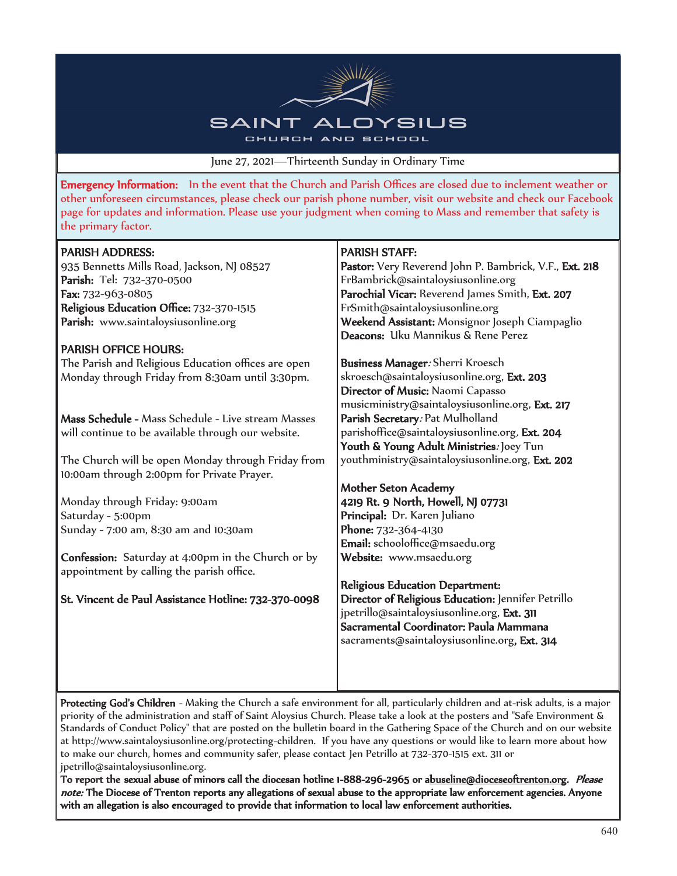

June 27, 2021—Thirteenth Sunday in Ordinary Time

Emergency Information: In the event that the Church and Parish Offices are closed due to inclement weather or other unforeseen circumstances, please check our parish phone number, visit our website and check our Facebook page for updates and information. Please use your judgment when coming to Mass and remember that safety is the primary factor.

| <b>PARISH ADDRESS:</b>                                                                                 | <b>PARISH STAFF:</b>                                   |  |  |
|--------------------------------------------------------------------------------------------------------|--------------------------------------------------------|--|--|
| 935 Bennetts Mills Road, Jackson, NJ 08527                                                             | Pastor: Very Reverend John P. Bambrick, V.F., Ext. 218 |  |  |
| Parish: Tel: 732-370-0500                                                                              | FrBambrick@saintaloysiusonline.org                     |  |  |
| Fax: 732-963-0805                                                                                      | Parochial Vicar: Reverend James Smith, Ext. 207        |  |  |
| Religious Education Office: 732-370-1515                                                               | FrSmith@saintaloysiusonline.org                        |  |  |
| Parish: www.saintaloysiusonline.org                                                                    | Weekend Assistant: Monsignor Joseph Ciampaglio         |  |  |
|                                                                                                        | Deacons: Uku Mannikus & Rene Perez                     |  |  |
| <b>PARISH OFFICE HOURS:</b>                                                                            |                                                        |  |  |
| The Parish and Religious Education offices are open                                                    | Business Manager: Sherri Kroesch                       |  |  |
| Monday through Friday from 8:30am until 3:30pm.                                                        | skroesch@saintaloysiusonline.org, Ext. 203             |  |  |
|                                                                                                        | Director of Music: Naomi Capasso                       |  |  |
|                                                                                                        | musicministry@saintaloysiusonline.org, Ext. 217        |  |  |
| Mass Schedule - Mass Schedule - Live stream Masses                                                     | Parish Secretary: Pat Mulholland                       |  |  |
| will continue to be available through our website.                                                     | parishoffice@saintaloysiusonline.org, Ext. 204         |  |  |
|                                                                                                        | Youth & Young Adult Ministries: Joey Tun               |  |  |
| The Church will be open Monday through Friday from                                                     | youthministry@saintaloysiusonline.org, Ext. 202        |  |  |
| 10:00am through 2:00pm for Private Prayer.                                                             |                                                        |  |  |
|                                                                                                        | <b>Mother Seton Academy</b>                            |  |  |
| Monday through Friday: 9:00am                                                                          | 4219 Rt. 9 North, Howell, NJ 07731                     |  |  |
| Saturday - 5:00pm                                                                                      | Principal: Dr. Karen Juliano                           |  |  |
| Sunday - 7:00 am, 8:30 am and 10:30am                                                                  | Phone: 732-364-4130                                    |  |  |
|                                                                                                        | Email: schooloffice@msaedu.org                         |  |  |
| <b>Confession:</b> Saturday at 4:00pm in the Church or by<br>appointment by calling the parish office. | Website: www.msaedu.org                                |  |  |
|                                                                                                        | Religious Education Department:                        |  |  |
| St. Vincent de Paul Assistance Hotline: 732-370-0098                                                   | Director of Religious Education: Jennifer Petrillo     |  |  |
|                                                                                                        | jpetrillo@saintaloysiusonline.org, Ext. 311            |  |  |
|                                                                                                        | Sacramental Coordinator: Paula Mammana                 |  |  |
|                                                                                                        | sacraments@saintaloysiusonline.org, Ext. 314           |  |  |
|                                                                                                        |                                                        |  |  |
|                                                                                                        |                                                        |  |  |
|                                                                                                        |                                                        |  |  |

Protecting God's Children - Making the Church a safe environment for all, particularly children and at-risk adults, is a major priority of the administration and staff of Saint Aloysius Church. Please take a look at the posters and "Safe Environment & Standards of Conduct Policy" that are posted on the bulletin board in the Gathering Space of the Church and on our website at http://www.saintaloysiusonline.org/protecting-children. If you have any questions or would like to learn more about how to make our church, homes and community safer, please contact Jen Petrillo at 732-370-1515 ext. 311 or jpetrillo@saintaloysiusonline.org.

To report the sexual abuse of minors call the diocesan hotline 1-888-296-2965 or abuseline@dioceseoftrenton.org. Please note: The Diocese of Trenton reports any allegations of sexual abuse to the appropriate law enforcement agencies. Anyone with an allegation is also encouraged to provide that information to local law enforcement authorities.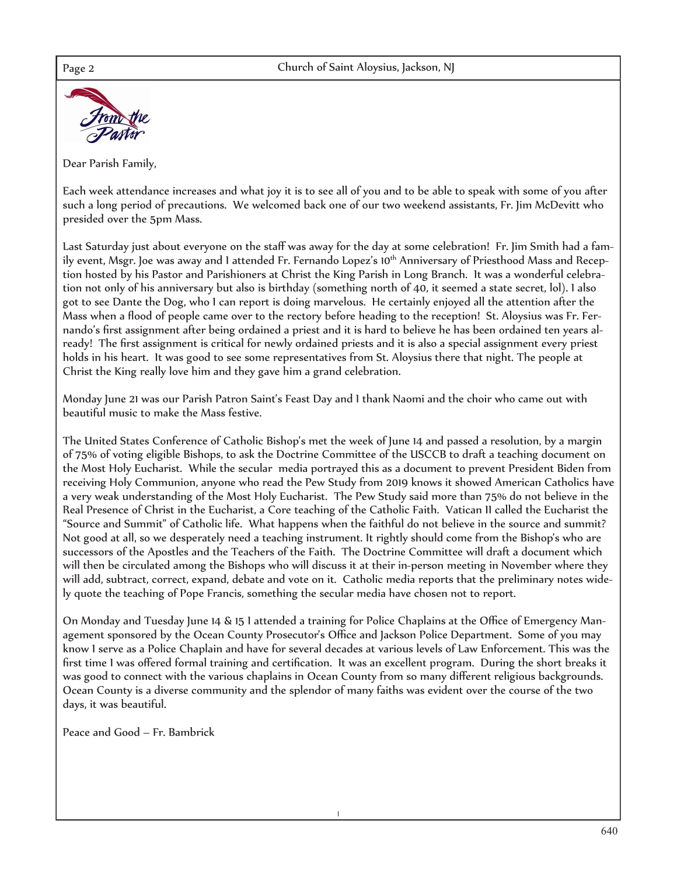

Dear Parish Family,

Each week attendance increases and what joy it is to see all of you and to be able to speak with some of you after such a long period of precautions. We welcomed back one of our two weekend assistants, Fr. Jim McDevitt who presided over the 5pm Mass.

Last Saturday just about everyone on the staff was away for the day at some celebration! Fr. Jim Smith had a family event, Msgr. Joe was away and 1 attended Fr. Fernando Lopez's 10<sup>th</sup> Anniversary of Priesthood Mass and Reception hosted by his Pastor and Parishioners at Christ the King Parish in Long Branch. It was a wonderful celebration not only of his anniversary but also is birthday (something north of 40, it seemed a state secret, lol). I also got to see Dante the Dog, who I can report is doing marvelous. He certainly enjoyed all the attention after the Mass when a flood of people came over to the rectory before heading to the reception! St. Aloysius was Fr. Fernando's first assignment after being ordained a priest and it is hard to believe he has been ordained ten years already! The first assignment is critical for newly ordained priests and it is also a special assignment every priest holds in his heart. It was good to see some representatives from St. Aloysius there that night. The people at Christ the King really love him and they gave him a grand celebration.

Monday June 21 was our Parish Patron Saint's Feast Day and I thank Naomi and the choir who came out with beautiful music to make the Mass festive.

The United States Conference of Catholic Bishop's met the week of June 14 and passed a resolution, by a margin of 75% of voting eligible Bishops, to ask the Doctrine Committee of the USCCB to draft a teaching document on the Most Holy Eucharist. While the secular media portrayed this as a document to prevent President Biden from receiving Holy Communion, anyone who read the Pew Study from 2019 knows it showed American Catholics have a very weak understanding of the Most Holy Eucharist. The Pew Study said more than 75% do not believe in the Real Presence of Christ in the Eucharist, a Core teaching of the Catholic Faith. Vatican II called the Eucharist the "Source and Summit" of Catholic life. What happens when the faithful do not believe in the source and summit? Not good at all, so we desperately need a teaching instrument. It rightly should come from the Bishop's who are successors of the Apostles and the Teachers of the Faith. The Doctrine Committee will draft a document which will then be circulated among the Bishops who will discuss it at their in-person meeting in November where they will add, subtract, correct, expand, debate and vote on it. Catholic media reports that the preliminary notes widely quote the teaching of Pope Francis, something the secular media have chosen not to report.

On Monday and Tuesday June 14 & 15 I attended a training for Police Chaplains at the Office of Emergency Management sponsored by the Ocean County Prosecutor's Office and Jackson Police Department. Some of you may know I serve as a Police Chaplain and have for several decades at various levels of Law Enforcement. This was the first time I was offered formal training and certification. It was an excellent program. During the short breaks it was good to connect with the various chaplains in Ocean County from so many different religious backgrounds. Ocean County is a diverse community and the splendor of many faiths was evident over the course of the two days, it was beautiful.

Peace and Good – Fr. Bambrick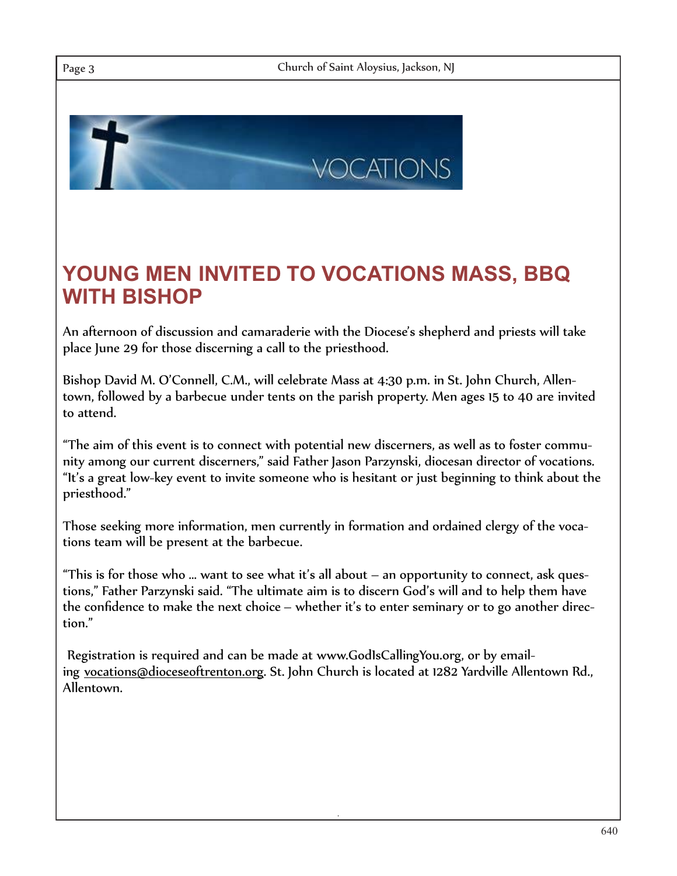

## **YOUNG MEN INVITED TO VOCATIONS MASS, BBQ WITH BISHOP**

An afternoon of discussion and camaraderie with the Diocese's shepherd and priests will take place June 29 for those discerning a call to the priesthood.

Bishop David M. O'Connell, C.M., will celebrate Mass at 4:30 p.m. in St. John Church, Allentown, followed by a barbecue under tents on the parish property. Men ages 15 to 40 are invited to attend.

"The aim of this event is to connect with potential new discerners, as well as to foster community among our current discerners," said Father Jason Parzynski, diocesan director of vocations. "It's a great low-key event to invite someone who is hesitant or just beginning to think about the priesthood."

Those seeking more information, men currently in formation and ordained clergy of the vocations team will be present at the barbecue.

"This is for those who … want to see what it's all about – an opportunity to connect, ask questions," Father Parzynski said. "The ultimate aim is to discern God's will and to help them have the confidence to make the next choice – whether it's to enter seminary or to go another direction."

Registration is required and can be made at www.GodIsCallingYou.org, or by emailing vocations@dioceseoftrenton.org. St. John Church is located at 1282 Yardville Allentown Rd., Allentown.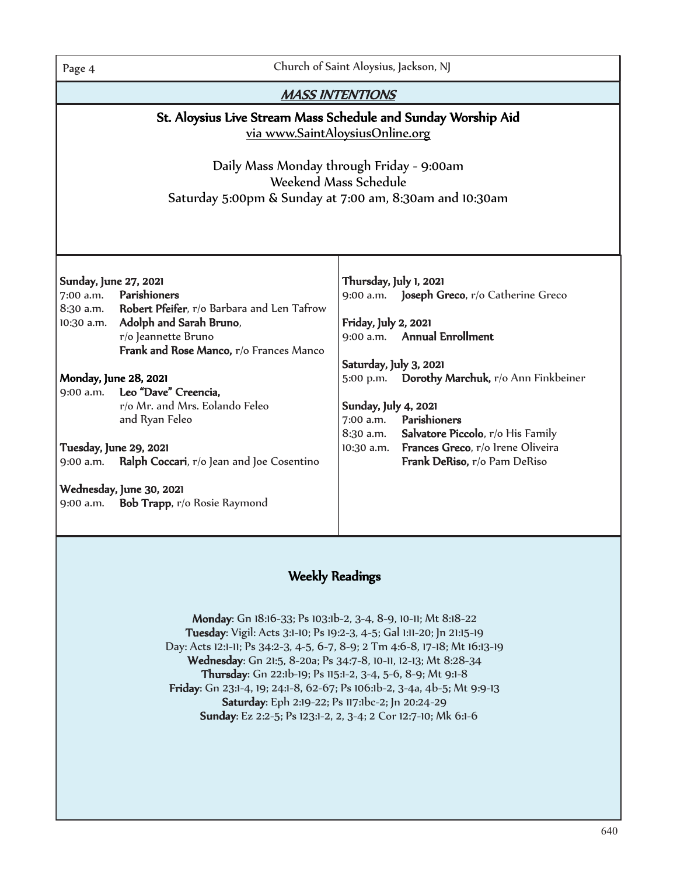Page 4 Church of Saint Aloysius, Jackson, NJ

| <b>MASS INTENTIONS</b>                                                                                                                                                                                                                                                                                                                                                                                                                                                                           |                                                                                                                                                                                                                                                                                                                                                                                                                |  |  |
|--------------------------------------------------------------------------------------------------------------------------------------------------------------------------------------------------------------------------------------------------------------------------------------------------------------------------------------------------------------------------------------------------------------------------------------------------------------------------------------------------|----------------------------------------------------------------------------------------------------------------------------------------------------------------------------------------------------------------------------------------------------------------------------------------------------------------------------------------------------------------------------------------------------------------|--|--|
| St. Aloysius Live Stream Mass Schedule and Sunday Worship Aid<br>via www.SaintAloysiusOnline.org<br>Daily Mass Monday through Friday - 9:00am<br>Weekend Mass Schedule<br>Saturday 5:00pm & Sunday at 7:00 am, 8:30am and 10:30am                                                                                                                                                                                                                                                                |                                                                                                                                                                                                                                                                                                                                                                                                                |  |  |
| Sunday, June 27, 2021<br>Parishioners<br>7:00 a.m.<br>8:30 a.m. Robert Pfeifer, r/o Barbara and Len Tafrow<br>10:30 a.m. Adolph and Sarah Bruno,<br>r/o Jeannette Bruno<br>Frank and Rose Manco, r/o Frances Manco<br>Monday, June 28, 2021<br>9:00 a.m. Leo "Dave" Creencia,<br>r/o Mr. and Mrs. Eolando Feleo<br>and Ryan Feleo<br>Tuesday, June 29, 2021<br>Ralph Coccari, r/o Jean and Joe Cosentino<br>$9:00$ a.m.<br>Wednesday, June 30, 2021<br>Bob Trapp, r/o Rosie Raymond<br>9:00 a.m. | Thursday, July 1, 2021<br>9:00 a.m. Joseph Greco, r/o Catherine Greco<br>Friday, July 2, 2021<br>9:00 a.m. Annual Enrollment<br>Saturday, July 3, 2021<br><b>Dorothy Marchuk, r</b> /o Ann Finkbeiner<br>5:00 p.m.<br>Sunday, July 4, 2021<br>Parishioners<br>7:00 a.m.<br>Salvatore Piccolo, r/o His Family<br>8:30 a.m.<br>Frances Greco, r/o Irene Oliveira<br>$10:30$ a.m.<br>Frank DeRiso, r/o Pam DeRiso |  |  |
| <b>Weekly Readings</b><br>Monday: Gn 18:16-33; Ps 103:1b-2, 3-4, 8-9, 10-11; Mt 8:18-22                                                                                                                                                                                                                                                                                                                                                                                                          |                                                                                                                                                                                                                                                                                                                                                                                                                |  |  |

 Tuesday: Vigil: Acts 3:1-10; Ps 19:2-3, 4-5; Gal 1:11-20; Jn 21:15-19 Day: Acts 12:1-11; Ps 34:2-3, 4-5, 6-7, 8-9; 2 Tm 4:6-8, 17-18; Mt 16:13-19 Wednesday: Gn 21:5, 8-20a; Ps 34:7-8, 10-11, 12-13; Mt 8:28-34 Thursday: Gn 22:1b-19; Ps 115:1-2, 3-4, 5-6, 8-9; Mt 9:1-8 Friday: Gn 23:1-4, 19; 24:1-8, 62-67; Ps 106:1b-2, 3-4a, 4b-5; Mt 9:9-13 Saturday: Eph 2:19-22; Ps 117:1bc-2; Jn 20:24-29 Sunday: Ez 2:2-5; Ps 123:1-2, 2, 3-4; 2 Cor 12:7-10; Mk 6:1-6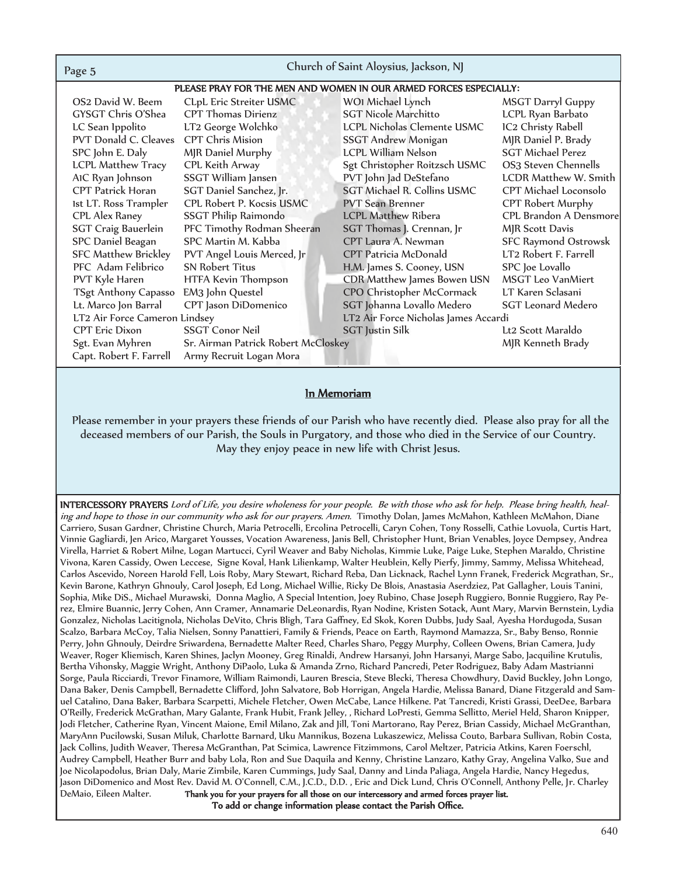| Page 5                                                            | Church of Saint Aloysius, Jackson, NJ |                                    |                              |  |
|-------------------------------------------------------------------|---------------------------------------|------------------------------------|------------------------------|--|
| PLEASE PRAY FOR THE MEN AND WOMEN IN OUR ARMED FORCES ESPECIALLY: |                                       |                                    |                              |  |
| OS2 David W. Beem                                                 | CLpL Eric Streiter USMC               | WOI Michael Lynch                  | <b>MSGT Darryl Guppy</b>     |  |
| GYSGT Chris O'Shea                                                | <b>CPT Thomas Dirienz</b>             | <b>SGT Nicole Marchitto</b>        | LCPL Ryan Barbato            |  |
| LC Sean Ippolito                                                  | LT2 George Wolchko                    | LCPL Nicholas Clemente USMC        | IC2 Christy Rabell           |  |
| PVT Donald C. Cleaves                                             | <b>CPT Chris Mision</b>               | SSGT Andrew Monigan                | MJR Daniel P. Brady          |  |
| SPC John E. Daly                                                  | MJR Daniel Murphy                     | <b>LCPL William Nelson</b>         | <b>SGT Michael Perez</b>     |  |
| <b>LCPL Matthew Tracy</b>                                         | CPL Keith Arway                       | Sgt Christopher Roitzsch USMC      | OS3 Steven Chennells         |  |
| AIC Ryan Johnson                                                  | SSGT William Jansen                   | PVT John Jad DeStefano             | <b>LCDR Matthew W. Smith</b> |  |
| <b>CPT Patrick Horan</b>                                          | SGT Daniel Sanchez, Jr.               | <b>SGT Michael R. Collins USMC</b> | CPT Michael Loconsolo        |  |
| 1st LT. Ross Trampler                                             | CPL Robert P. Kocsis USMC             | <b>PVT Sean Brenner</b>            | CPT Robert Murphy            |  |
| CPL Alex Raney                                                    | <b>SSGT Philip Raimondo</b>           | <b>LCPL Matthew Ribera</b>         | CPL Brandon A Densmore       |  |
| <b>SGT Craig Bauerlein</b>                                        | PFC Timothy Rodman Sheeran            | SGT Thomas J. Crennan, Jr          | <b>MJR Scott Davis</b>       |  |
| SPC Daniel Beagan                                                 | SPC Martin M. Kabba                   | CPT Laura A. Newman                | <b>SFC Raymond Ostrowsk</b>  |  |
| <b>SFC Matthew Brickley</b>                                       | PVT Angel Louis Merced, Jr            | <b>CPT Patricia McDonald</b>       | LT2 Robert F. Farrell        |  |
| PFC Adam Felibrico                                                | <b>SN Robert Titus</b>                | H.M. James S. Cooney, USN          | SPC Joe Lovallo              |  |
| PVT Kyle Haren                                                    | HTFA Kevin Thompson                   | CDR Matthew James Bowen USN        | <b>MSGT Leo VanMiert</b>     |  |
| <b>TSgt Anthony Capasso</b>                                       | EM3 John Questel                      | CPO Christopher McCormack          | LT Karen Sclasani            |  |
| Lt. Marco Jon Barral                                              | CPT Jason DiDomenico                  | SGT Johanna Lovallo Medero         | <b>SGT Leonard Medero</b>    |  |
| LT2 Air Force Cameron Lindsey                                     | LT2 Air Force Nicholas James Accardi  |                                    |                              |  |
| <b>CPT</b> Eric Dixon                                             | <b>SSGT Conor Neil</b>                | <b>SGT</b> Justin Silk             | Lt2 Scott Maraldo            |  |
| Sgt. Evan Myhren                                                  | Sr. Airman Patrick Robert McCloskey   |                                    | MJR Kenneth Brady            |  |
| Capt. Robert F. Farrell                                           | Army Recruit Logan Mora               |                                    |                              |  |

### In Memoriam

 Please remember in your prayers these friends of our Parish who have recently died. Please also pray for all the deceased members of our Parish, the Souls in Purgatory, and those who died in the Service of our Country. May they enjoy peace in new life with Christ Jesus.

INTERCESSORY PRAYERS Lord of Life, you desire wholeness for your people. Be with those who ask for help. Please bring health, healing and hope to those in our community who ask for our prayers. Amen. Timothy Dolan, James McMahon, Kathleen McMahon, Diane Carriero, Susan Gardner, Christine Church, Maria Petrocelli, Ercolina Petrocelli, Caryn Cohen, Tony Rosselli, Cathie Lovuola, Curtis Hart, Vinnie Gagliardi, Jen Arico, Margaret Yousses, Vocation Awareness, Janis Bell, Christopher Hunt, Brian Venables, Joyce Dempsey, Andrea Virella, Harriet & Robert Milne, Logan Martucci, Cyril Weaver and Baby Nicholas, Kimmie Luke, Paige Luke, Stephen Maraldo, Christine Vivona, Karen Cassidy, Owen Leccese, Signe Koval, Hank Lilienkamp, Walter Heublein, Kelly Pierfy, Jimmy, Sammy, Melissa Whitehead, Carlos Ascevido, Noreen Harold Fell, Lois Roby, Mary Stewart, Richard Reba, Dan Licknack, Rachel Lynn Franek, Frederick Mcgrathan, Sr., Kevin Barone, Kathryn Ghnouly, Carol Joseph, Ed Long, Michael Willie, Ricky De Blois, Anastasia Aserdziez, Pat Gallagher, Louis Tanini, Sophia, Mike DiS., Michael Murawski, Donna Maglio, A Special Intention, Joey Rubino, Chase Joseph Ruggiero, Bonnie Ruggiero, Ray Perez, Elmire Buannic, Jerry Cohen, Ann Cramer, Annamarie DeLeonardis, Ryan Nodine, Kristen Sotack, Aunt Mary, Marvin Bernstein, Lydia Gonzalez, Nicholas Lacitignola, Nicholas DeVito, Chris Bligh, Tara Gaffney, Ed Skok, Koren Dubbs, Judy Saal, Ayesha Hordugoda, Susan Scalzo, Barbara McCoy, Talia Nielsen, Sonny Panattieri, Family & Friends, Peace on Earth, Raymond Mamazza, Sr., Baby Benso, Ronnie Perry, John Ghnouly, Deirdre Sriwardena, Bernadette Malter Reed, Charles Sharo, Peggy Murphy, Colleen Owens, Brian Camera, Judy Weaver, Roger Kliemisch, Karen Shines, Jaclyn Mooney, Greg Rinaldi, Andrew Harsanyi, John Harsanyi, Marge Sabo, Jacquiline Krutulis, Bertha Vihonsky, Maggie Wright, Anthony DiPaolo, Luka & Amanda Zrno, Richard Pancredi, Peter Rodriguez, Baby Adam Mastrianni Sorge, Paula Ricciardi, Trevor Finamore, William Raimondi, Lauren Brescia, Steve Blecki, Theresa Chowdhury, David Buckley, John Longo, Dana Baker, Denis Campbell, Bernadette Clifford, John Salvatore, Bob Horrigan, Angela Hardie, Melissa Banard, Diane Fitzgerald and Samuel Catalino, Dana Baker, Barbara Scarpetti, Michele Fletcher, Owen McCabe, Lance Hilkene. Pat Tancredi, Kristi Grassi, DeeDee, Barbara O'Reilly, Frederick McGrathan, Mary Galante, Frank Hubit, Frank Jelley, , Richard LoPresti, Gemma Sellitto, Meriel Held, Sharon Knipper, Jodi Fletcher, Catherine Ryan, Vincent Maione, Emil Milano, Zak and Jill, Toni Martorano, Ray Perez, Brian Cassidy, Michael McGranthan, MaryAnn Pucilowski, Susan Miluk, Charlotte Barnard, Uku Mannikus, Bozena Lukaszewicz, Melissa Couto, Barbara Sullivan, Robin Costa, Jack Collins, Judith Weaver, Theresa McGranthan, Pat Scimica, Lawrence Fitzimmons, Carol Meltzer, Patricia Atkins, Karen Foerschl, Audrey Campbell, Heather Burr and baby Lola, Ron and Sue Daquila and Kenny, Christine Lanzaro, Kathy Gray, Angelina Valko, Sue and Joe Nicolapodolus, Brian Daly, Marie Zimbile, Karen Cummings, Judy Saal, Danny and Linda Paliaga, Angela Hardie, Nancy Hegedus, Jason DiDomenico and Most Rev. David M. O'Connell, C.M., J.C.D., D.D. , Eric and Dick Lund, Chris O'Connell, Anthony Pelle, Jr. Charley DeMaio, Eileen Malter. Thank you for your prayers for all those on our intercessory and armed forces prayer list. To add or change information please contact the Parish Office.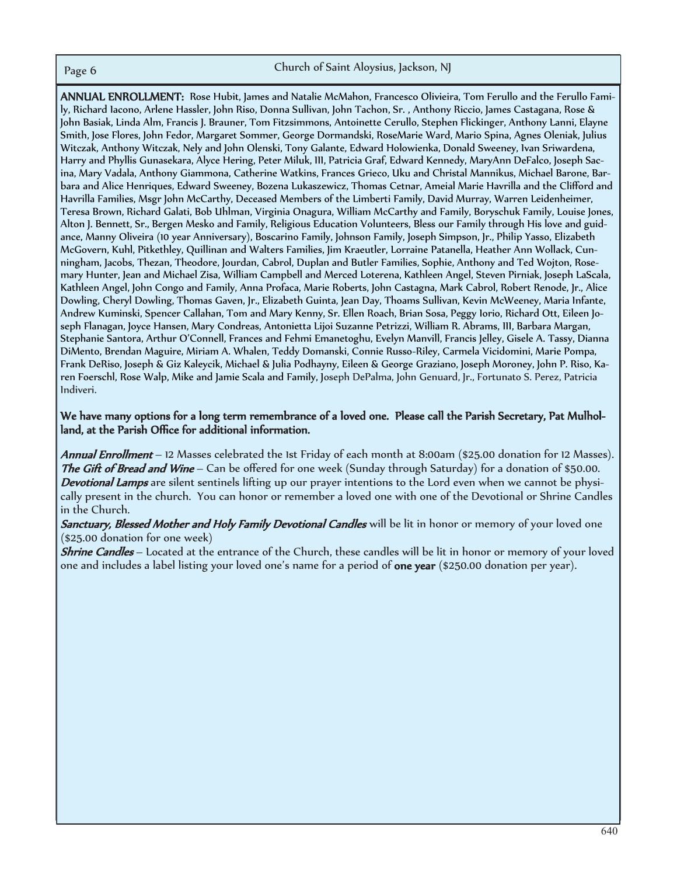ANNUAL ENROLLMENT: Rose Hubit, James and Natalie McMahon, Francesco Olivieira, Tom Ferullo and the Ferullo Family, Richard Iacono, Arlene Hassler, John Riso, Donna Sullivan, John Tachon, Sr. , Anthony Riccio, James Castagana, Rose & John Basiak, Linda Alm, Francis J. Brauner, Tom Fitzsimmons, Antoinette Cerullo, Stephen Flickinger, Anthony Lanni, Elayne Smith, Jose Flores, John Fedor, Margaret Sommer, George Dormandski, RoseMarie Ward, Mario Spina, Agnes Oleniak, Julius Witczak, Anthony Witczak, Nely and John Olenski, Tony Galante, Edward Holowienka, Donald Sweeney, Ivan Sriwardena, Harry and Phyllis Gunasekara, Alyce Hering, Peter Miluk, III, Patricia Graf, Edward Kennedy, MaryAnn DeFalco, Joseph Sacina, Mary Vadala, Anthony Giammona, Catherine Watkins, Frances Grieco, Uku and Christal Mannikus, Michael Barone, Barbara and Alice Henriques, Edward Sweeney, Bozena Lukaszewicz, Thomas Cetnar, Ameial Marie Havrilla and the Clifford and Havrilla Families, Msgr John McCarthy, Deceased Members of the Limberti Family, David Murray, Warren Leidenheimer, Teresa Brown, Richard Galati, Bob Uhlman, Virginia Onagura, William McCarthy and Family, Boryschuk Family, Louise Jones, Alton J. Bennett, Sr., Bergen Mesko and Family, Religious Education Volunteers, Bless our Family through His love and guidance, Manny Oliveira (10 year Anniversary), Boscarino Family, Johnson Family, Joseph Simpson, Jr., Philip Yasso, Elizabeth McGovern, Kuhl, Pitkethley, Quillinan and Walters Families, Jim Kraeutler, Lorraine Patanella, Heather Ann Wollack, Cunningham, Jacobs, Thezan, Theodore, Jourdan, Cabrol, Duplan and Butler Families, Sophie, Anthony and Ted Wojton, Rosemary Hunter, Jean and Michael Zisa, William Campbell and Merced Loterena, Kathleen Angel, Steven Pirniak, Joseph LaScala, Kathleen Angel, John Congo and Family, Anna Profaca, Marie Roberts, John Castagna, Mark Cabrol, Robert Renode, Jr., Alice Dowling, Cheryl Dowling, Thomas Gaven, Jr., Elizabeth Guinta, Jean Day, Thoams Sullivan, Kevin McWeeney, Maria Infante, Andrew Kuminski, Spencer Callahan, Tom and Mary Kenny, Sr. Ellen Roach, Brian Sosa, Peggy Iorio, Richard Ott, Eileen Joseph Flanagan, Joyce Hansen, Mary Condreas, Antonietta Lijoi Suzanne Petrizzi, William R. Abrams, III, Barbara Margan, Stephanie Santora, Arthur O'Connell, Frances and Fehmi Emanetoghu, Evelyn Manvill, Francis Jelley, Gisele A. Tassy, Dianna DiMento, Brendan Maguire, Miriam A. Whalen, Teddy Domanski, Connie Russo-Riley, Carmela Vicidomini, Marie Pompa, Frank DeRiso, Joseph & Giz Kaleycik, Michael & Julia Podhayny, Eileen & George Graziano, Joseph Moroney, John P. Riso, Karen Foerschl, Rose Walp, Mike and Jamie Scala and Family, Joseph DePalma, John Genuard, Jr., Fortunato S. Perez, Patricia Indiveri.

### We have many options for a long term remembrance of a loved one. Please call the Parish Secretary, Pat Mulholland, at the Parish Office for additional information.

Annual Enrollment – 12 Masses celebrated the 1st Friday of each month at 8:00am (\$25.00 donation for 12 Masses). The Gift of Bread and Wine – Can be offered for one week (Sunday through Saturday) for a donation of \$50.00. Devotional Lamps are silent sentinels lifting up our prayer intentions to the Lord even when we cannot be physically present in the church. You can honor or remember a loved one with one of the Devotional or Shrine Candles in the Church.

Sanctuary, Blessed Mother and Holy Family Devotional Candles will be lit in honor or memory of your loved one (\$25.00 donation for one week)

**Shrine Candles** – Located at the entrance of the Church, these candles will be lit in honor or memory of your loved one and includes a label listing your loved one's name for a period of one year (\$250.00 donation per year).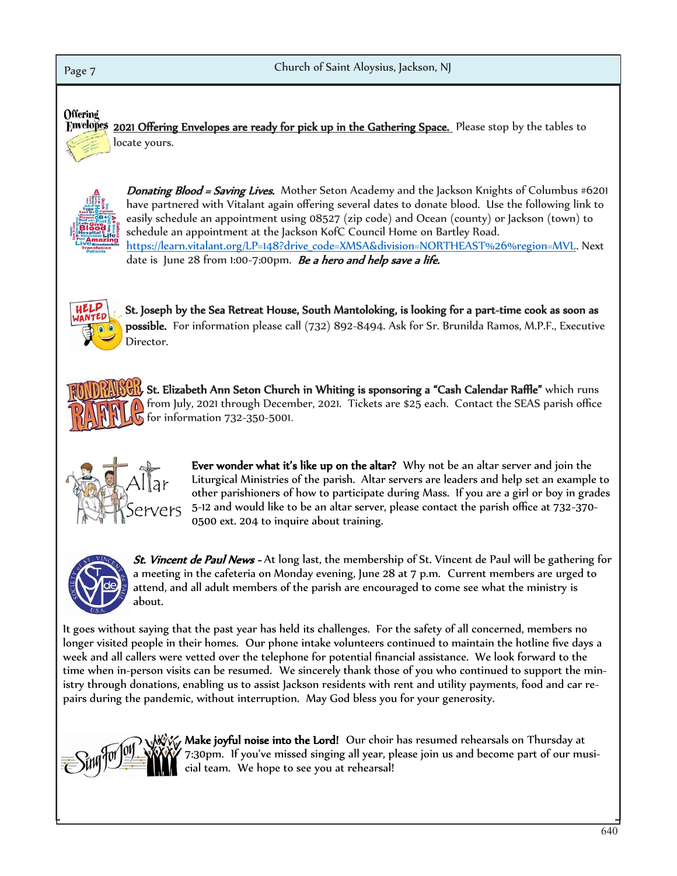# Page 7 **Church of Saint Aloysius, Jackson, NJ** Offering

Envelopes 2021 Offering Envelopes are ready for pick up in the Gathering Space. Please stop by the tables to locate yours.



Donating Blood = Saving Lives. Mother Seton Academy and the Jackson Knights of Columbus #6201 have partnered with Vitalant again offering several dates to donate blood. Use the following link to easily schedule an appointment using 08527 (zip code) and Ocean (county) or Jackson (town) to schedule an appointment at the Jackson KofC Council Home on Bartley Road. https://learn.vitalant.org/LP=148?drive\_code=XMSA&division=NORTHEAST%26%region=MVL. Next date is June 28 from 1:00-7:00pm. Be a hero and help save a life.



St. Joseph by the Sea Retreat House, South Mantoloking, is looking for a part-time cook as soon as possible. For information please call (732) 892-8494. Ask for Sr. Brunilda Ramos, M.P.F., Executive Director.

St. Elizabeth Ann Seton Church in Whiting is sponsoring a "Cash Calendar Raffle" which runs from July, 2021 through December, 2021. Tickets are \$25 each. Contact the SEAS parish office **h** for information 732-350-5001.



Ever wonder what it's like up on the altar? Why not be an altar server and join the Liturgical Ministries of the parish. Altar servers are leaders and help set an example to other parishioners of how to participate during Mass. If you are a girl or boy in grades 5-12 and would like to be an altar server, please contact the parish office at 732-370- 0500 ext. 204 to inquire about training.



**St. Vincent de Paul News** - At long last, the membership of St. Vincent de Paul will be gathering for a meeting in the cafeteria on Monday evening, June 28 at 7 p.m. Current members are urged to attend, and all adult members of the parish are encouraged to come see what the ministry is about.

It goes without saying that the past year has held its challenges. For the safety of all concerned, members no longer visited people in their homes. Our phone intake volunteers continued to maintain the hotline five days a week and all callers were vetted over the telephone for potential financial assistance. We look forward to the time when in-person visits can be resumed. We sincerely thank those of you who continued to support the ministry through donations, enabling us to assist Jackson residents with rent and utility payments, food and car repairs during the pandemic, without interruption. May God bless you for your generosity.



 $\gamma$  Make joyful noise into the Lord! Our choir has resumed rehearsals on Thursday at 7:30pm. If you've missed singing all year, please join us and become part of our musicial team. We hope to see you at rehearsal!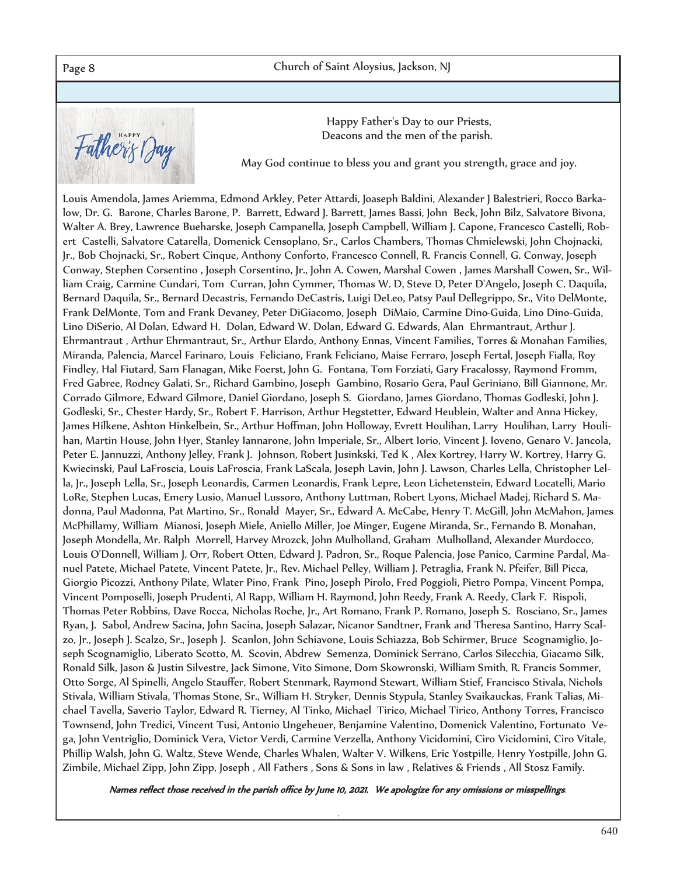Page 8 **April 23, 2017 Church of Saint Aloysius**, Jackson, NJ

Father's Day

Happy Father's Day to our Priests, Deacons and the men of the parish.

May God continue to bless you and grant you strength, grace and joy.

Louis Amendola, James Ariemma, Edmond Arkley, Peter Attardi, Joaseph Baldini, Alexander J Balestrieri, Rocco Barkalow, Dr. G. Barone, Charles Barone, P. Barrett, Edward J. Barrett, James Bassi, John Beck, John Bilz, Salvatore Bivona, Walter A. Brey, Lawrence Bueharske, Joseph Campanella, Joseph Campbell, William J. Capone, Francesco Castelli, Robert Castelli, Salvatore Catarella, Domenick Censoplano, Sr., Carlos Chambers, Thomas Chmielewski, John Chojnacki, Jr., Bob Chojnacki, Sr., Robert Cinque, Anthony Conforto, Francesco Connell, R. Francis Connell, G. Conway, Joseph Conway, Stephen Corsentino , Joseph Corsentino, Jr., John A. Cowen, Marshal Cowen , James Marshall Cowen, Sr., William Craig, Carmine Cundari, Tom Curran, John Cymmer, Thomas W. D, Steve D, Peter D'Angelo, Joseph C. Daquila, Bernard Daquila, Sr., Bernard Decastris, Fernando DeCastris, Luigi DeLeo, Patsy Paul Dellegrippo, Sr., Vito DelMonte, Frank DelMonte, Tom and Frank Devaney, Peter DiGiacomo, Joseph DiMaio, Carmine Dino-Guida, Lino Dino-Guida, Lino DiSerio, Al Dolan, Edward H. Dolan, Edward W. Dolan, Edward G. Edwards, Alan Ehrmantraut, Arthur J. Ehrmantraut , Arthur Ehrmantraut, Sr., Arthur Elardo, Anthony Ennas, Vincent Families, Torres & Monahan Families, Miranda, Palencia, Marcel Farinaro, Louis Feliciano, Frank Feliciano, Maise Ferraro, Joseph Fertal, Joseph Fialla, Roy Findley, Hal Fiutard, Sam Flanagan, Mike Foerst, John G. Fontana, Tom Forziati, Gary Fracalossy, Raymond Fromm, Fred Gabree, Rodney Galati, Sr., Richard Gambino, Joseph Gambino, Rosario Gera, Paul Geriniano, Bill Giannone, Mr. Corrado Gilmore, Edward Gilmore, Daniel Giordano, Joseph S. Giordano, James Giordano, Thomas Godleski, John J. Godleski, Sr., Chester Hardy, Sr., Robert F. Harrison, Arthur Hegstetter, Edward Heublein, Walter and Anna Hickey, James Hilkene, Ashton Hinkelbein, Sr., Arthur Hoffman, John Holloway, Evrett Houlihan, Larry Houlihan, Larry Houlihan, Martin House, John Hyer, Stanley Iannarone, John Imperiale, Sr., Albert Iorio, Vincent J. Ioveno, Genaro V. Jancola, Peter E. Jannuzzi, Anthony Jelley, Frank J. Johnson, Robert Jusinkski, Ted K , Alex Kortrey, Harry W. Kortrey, Harry G. Kwiecinski, Paul LaFroscia, Louis LaFroscia, Frank LaScala, Joseph Lavin, John J. Lawson, Charles Lella, Christopher Lella, Jr., Joseph Lella, Sr., Joseph Leonardis, Carmen Leonardis, Frank Lepre, Leon Lichetenstein, Edward Locatelli, Mario LoRe, Stephen Lucas, Emery Lusio, Manuel Lussoro, Anthony Luttman, Robert Lyons, Michael Madej, Richard S. Madonna, Paul Madonna, Pat Martino, Sr., Ronald Mayer, Sr., Edward A. McCabe, Henry T. McGill, John McMahon, James McPhillamy, William Mianosi, Joseph Miele, Aniello Miller, Joe Minger, Eugene Miranda, Sr., Fernando B. Monahan, Joseph Mondella, Mr. Ralph Morrell, Harvey Mrozck, John Mulholland, Graham Mulholland, Alexander Murdocco, Louis O'Donnell, William J. Orr, Robert Otten, Edward J. Padron, Sr., Roque Palencia, Jose Panico, Carmine Pardal, Manuel Patete, Michael Patete, Vincent Patete, Jr., Rev. Michael Pelley, William J. Petraglia, Frank N. Pfeifer, Bill Picca, Giorgio Picozzi, Anthony Pilate, Wlater Pino, Frank Pino, Joseph Pirolo, Fred Poggioli, Pietro Pompa, Vincent Pompa, Vincent Pomposelli, Joseph Prudenti, Al Rapp, William H. Raymond, John Reedy, Frank A. Reedy, Clark F. Rispoli, Thomas Peter Robbins, Dave Rocca, Nicholas Roche, Jr., Art Romano, Frank P. Romano, Joseph S. Rosciano, Sr., James Ryan, J. Sabol, Andrew Sacina, John Sacina, Joseph Salazar, Nicanor Sandtner, Frank and Theresa Santino, Harry Scalzo, Jr., Joseph J. Scalzo, Sr., Joseph J. Scanlon, John Schiavone, Louis Schiazza, Bob Schirmer, Bruce Scognamiglio, Joseph Scognamiglio, Liberato Scotto, M. Scovin, Abdrew Semenza, Dominick Serrano, Carlos Silecchia, Giacamo Silk, Ronald Silk, Jason & Justin Silvestre, Jack Simone, Vito Simone, Dom Skowronski, William Smith, R. Francis Sommer, Otto Sorge, Al Spinelli, Angelo Stauffer, Robert Stenmark, Raymond Stewart, William Stief, Francisco Stivala, Nichols Stivala, William Stivala, Thomas Stone, Sr., William H. Stryker, Dennis Stypula, Stanley Svaikauckas, Frank Talias, Michael Tavella, Saverio Taylor, Edward R. Tierney, Al Tinko, Michael Tirico, Michael Tirico, Anthony Torres, Francisco Townsend, John Tredici, Vincent Tusi, Antonio Ungeheuer, Benjamine Valentino, Domenick Valentino, Fortunato Vega, John Ventriglio, Dominick Vera, Victor Verdi, Carmine Verzella, Anthony Vicidomini, Ciro Vicidomini, Ciro Vitale, Phillip Walsh, John G. Waltz, Steve Wende, Charles Whalen, Walter V. Wilkens, Eric Yostpille, Henry Yostpille, John G. Zimbile, Michael Zipp, John Zipp, Joseph , All Fathers , Sons & Sons in law , Relatives & Friends , All Stosz Family.

Names reflect those received in the parish office by June 10, 2021. We apologize for any omissions or misspellings*.*